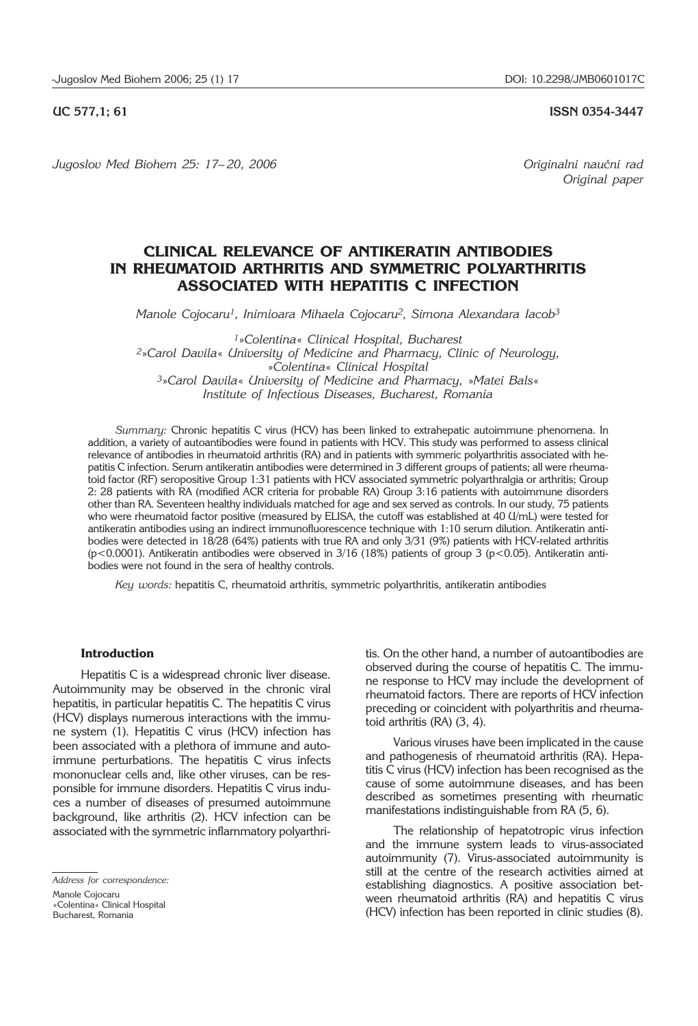**UC 577,1; 61 ISSN 0354-3447**

Jugoslov Med Biohem 25: 17–20, 2006 *Jugoslov Med Biohem 25: 17–20, 2006* 

*Original paper*

# **CLINICAL RELEVANCE OF ANTIKERATIN ANTIBODIES IN RHEUMATOID ARTHRITIS AND SYMMETRIC POLYARTHRITIS ASSOCIATED WITH HEPATITIS C INFECTION**

*Manole Cojocaru1, Inimioara Mihaela Cojocaru2, Simona Alexandara Iacob3*

*<sup>1</sup>*»*Colentina*« *Clinical Hospital, Bucharest <sup>2</sup>*»*Carol Davila*« *University of Medicine and Pharmacy, Clinic of Neurology,*  »*Colentina*« *Clinical Hospital <sup>3</sup>*»*Carol Davila*« *University of Medicine and Pharmacy,* »*Matei Bals*« *Institute of Infectious Diseases, Bucharest, Romania*

*Summary:* Chronic hepatitis C virus (HCV) has been linked to extrahepatic autoimmune phenomena. In addition, a variety of autoantibodies were found in patients with HCV. This study was performed to assess clinical relevance of antibodies in rheumatoid arthritis (RA) and in patients with symmeric polyarthritis associated with hepatitis C infection. Serum antikeratin antibodies were determined in 3 different groups of patients; all were rheumatoid factor (RF) seropositive Group 1:31 patients with HCV associated symmetric polyarthralgia or arthritis; Group 2: 28 patients with RA (modified ACR criteria for probable RA) Group 3:16 patients with autoimmune disorders other than RA. Seventeen healthy individuals matched for age and sex served as controls. In our study, 75 patients who were rheumatoid factor positive (measured by ELISA, the cutoff was established at 40 U/mL) were tested for antikeratin antibodies using an indirect immunofluorescence technique with 1:10 serum dilution. Antikeratin antibodies were detected in 18/28 (64%) patients with true RA and only 3/31 (9%) patients with HCV-related arthritis (p<0.0001). Antikeratin antibodies were observed in 3/16 (18%) patients of group 3 (p<0.05). Antikeratin antibodies were not found in the sera of healthy controls.

*Key words:* hepatitis C, rheumatoid arthritis, symmetric polyarthritis, antikeratin antibodies

## **Introduction**

Hepatitis C is a widespread chronic liver disease. Autoimmunity may be observed in the chronic viral hepatitis, in particular hepatitis C. The hepatitis C virus (HCV) displays numerous interactions with the immune system (1). Hepatitis C virus (HCV) infection has been associated with a plethora of immune and autoimmune perturbations. The hepatitis C virus infects mononuclear cells and, like other viruses, can be responsible for immune disorders. Hepatitis C virus induces a number of diseases of presumed autoimmune background, like arthritis (2). HCV infection can be associated with the symmetric inflammatory polyarthri-

*Address for correspondence:* 

tis. On the other hand, a number of autoantibodies are observed during the course of hepatitis C. The immune response to HCV may include the development of rheumatoid factors. There are reports of HCV infection preceding or coincident with polyarthritis and rheumatoid arthritis (RA) (3, 4).

Various viruses have been implicated in the cause and pathogenesis of rheumatoid arthritis (RA). Hepatitis C virus (HCV) infection has been recognised as the cause of some autoimmune diseases, and has been described as sometimes presenting with rheumatic manifestations indistinguishable from RA (5, 6).

The relationship of hepatotropic virus infection and the immune system leads to virus-associated autoimmunity (7). Virus-associated autoimmunity is still at the centre of the research activities aimed at establishing diagnostics. A positive association between rheumatoid arthritis (RA) and hepatitis C virus (HCV) infection has been reported in clinic studies (8).

Manole Cojocaru »Colentina« Clinical Hospital

Bucharest, Romania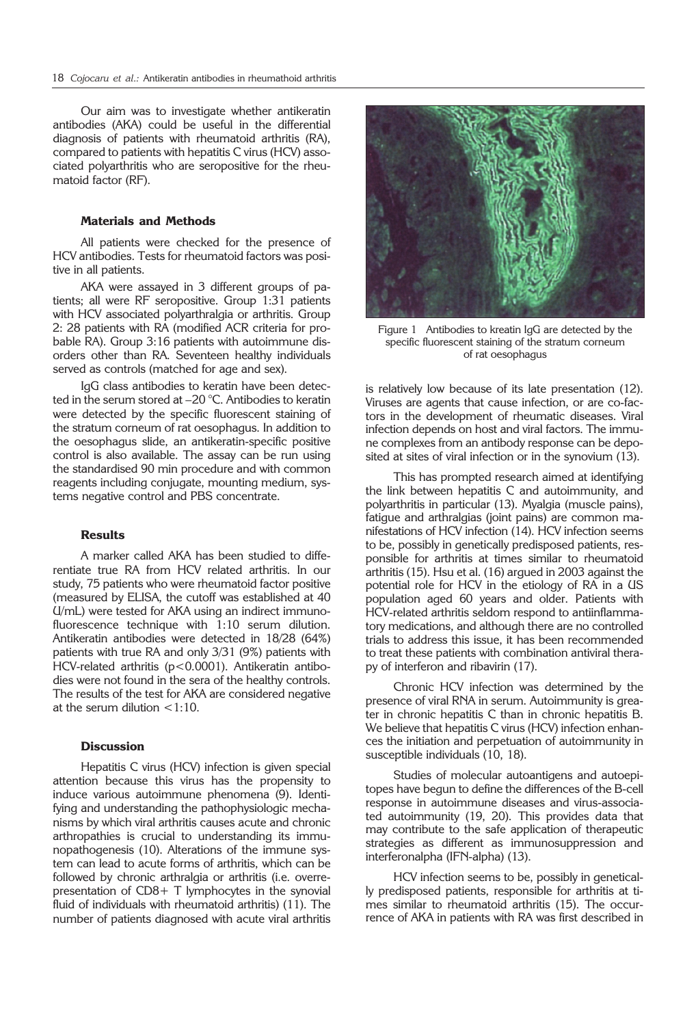Our aim was to investigate whether antikeratin antibodies (AKA) could be useful in the differential diagnosis of patients with rheumatoid arthritis (RA), compared to patients with hepatitis C virus (HCV) associated polyarthritis who are seropositive for the rheumatoid factor (RF).

## **Materials and Methods**

All patients were checked for the presence of HCV antibodies. Tests for rheumatoid factors was positive in all patients.

AKA were assayed in 3 different groups of patients; all were RF seropositive. Group 1:31 patients with HCV associated polyarthralgia or arthritis. Group 2: 28 patients with RA (modified ACR criteria for probable RA). Group 3:16 patients with autoimmune disorders other than RA. Seventeen healthy individuals served as controls (matched for age and sex).

IgG class antibodies to keratin have been detected in the serum stored at –20 °C. Antibodies to keratin were detected by the specific fluorescent staining of the stratum corneum of rat oesophagus. In addition to the oesophagus slide, an antikeratin-specific positive control is also available. The assay can be run using the standardised 90 min procedure and with common reagents including conjugate, mounting medium, systems negative control and PBS concentrate.

### **Results**

A marker called AKA has been studied to differentiate true RA from HCV related arthritis. In our study, 75 patients who were rheumatoid factor positive (measured by ELISA, the cutoff was established at 40 U/mL) were tested for AKA using an indirect immunofluorescence technique with 1:10 serum dilution. Antikeratin antibodies were detected in 18/28 (64%) patients with true RA and only 3/31 (9%) patients with HCV-related arthritis (p<0.0001). Antikeratin antibodies were not found in the sera of the healthy controls. The results of the test for AKA are considered negative at the serum dilution  $\leq 1:10$ .

## **Discussion**

Hepatitis C virus (HCV) infection is given special attention because this virus has the propensity to induce various autoimmune phenomena (9). Identifying and understanding the pathophysiologic mechanisms by which viral arthritis causes acute and chronic arthropathies is crucial to understanding its immunopathogenesis (10). Alterations of the immune system can lead to acute forms of arthritis, which can be followed by chronic arthralgia or arthritis (i.e. overrepresentation of CD8+ T lymphocytes in the synovial fluid of individuals with rheumatoid arthritis) (11). The number of patients diagnosed with acute viral arthritis



Figure 1 Antibodies to kreatin IgG are detected by the specific fluorescent staining of the stratum corneum of rat oesophagus

is relatively low because of its late presentation (12). Viruses are agents that cause infection, or are co-factors in the development of rheumatic diseases. Viral infection depends on host and viral factors. The immune complexes from an antibody response can be deposited at sites of viral infection or in the synovium (13).

This has prompted research aimed at identifying the link between hepatitis C and autoimmunity, and polyarthritis in particular (13). Myalgia (muscle pains), fatigue and arthralgias (joint pains) are common manifestations of HCV infection (14). HCV infection seems to be, possibly in genetically predisposed patients, responsible for arthritis at times similar to rheumatoid arthritis (15). Hsu et al. (16) argued in 2003 against the potential role for HCV in the etiology of RA in a US population aged 60 years and older. Patients with HCV-related arthritis seldom respond to antiinflammatory medications, and although there are no controlled trials to address this issue, it has been recommended to treat these patients with combination antiviral therapy of interferon and ribavirin (17).

Chronic HCV infection was determined by the presence of viral RNA in serum. Autoimmunity is greater in chronic hepatitis C than in chronic hepatitis B. We believe that hepatitis C virus (HCV) infection enhances the initiation and perpetuation of autoimmunity in susceptible individuals (10, 18).

Studies of molecular autoantigens and autoepitopes have begun to define the differences of the B-cell response in autoimmune diseases and virus-associated autoimmunity (19, 20). This provides data that may contribute to the safe application of therapeutic strategies as different as immunosuppression and interferonalpha (IFN-alpha) (13).

HCV infection seems to be, possibly in genetically predisposed patients, responsible for arthritis at times similar to rheumatoid arthritis (15). The occurrence of AKA in patients with RA was first described in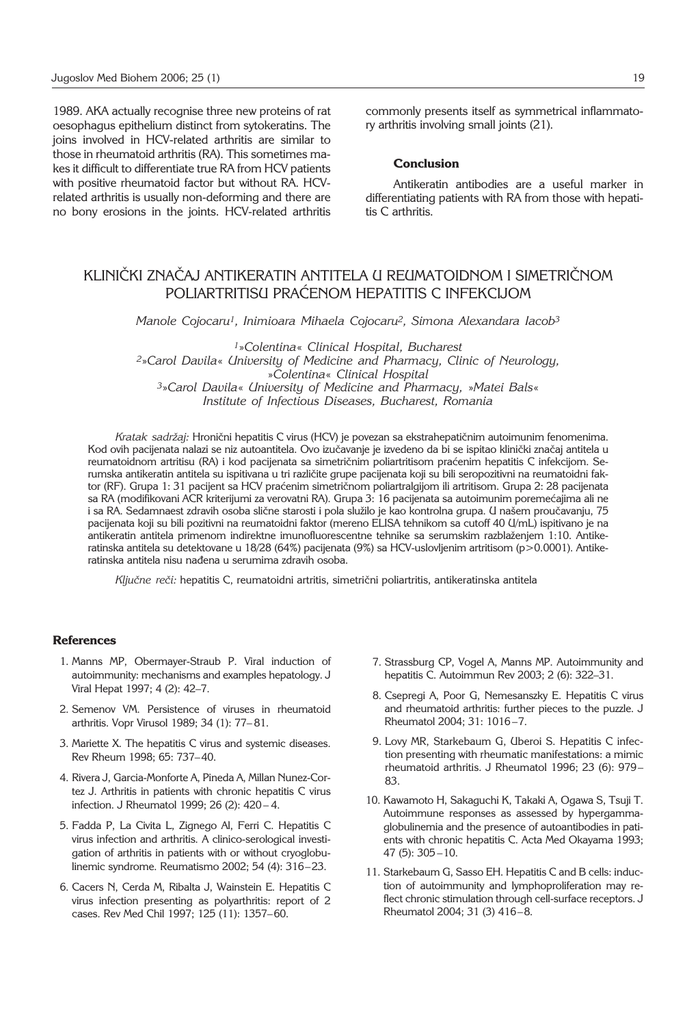1989. AKA actually recognise three new proteins of rat oesophagus epithelium distinct from sytokeratins. The joins involved in HCV-related arthritis are similar to those in rheumatoid arthritis (RA). This sometimes makes it difficult to differentiate true RA from HCV patients with positive rheumatoid factor but without RA. HCVrelated arthritis is usually non-deforming and there are no bony erosions in the joints. HCV-related arthritis commonly presents itself as symmetrical inflammatory arthritis involving small joints (21).

#### **Conclusion**

Antikeratin antibodies are a useful marker in differentiating patients with RA from those with hepatitis C arthritis.

# KLINIČKI ZNAČAJ ANTIKERATIN ANTITELA U REUMATOIDNOM I SIMETRIČNOM POLIARTRITISU PRAĆENOM HEPATITIS C INFEKCIJOM

*Manole Cojocaru1, Inimioara Mihaela Cojocaru2, Simona Alexandara Iacob3*

*<sup>1</sup>*»*Colentina*« *Clinical Hospital, Bucharest <sup>2</sup>*»*Carol Davila*« *University of Medicine and Pharmacy, Clinic of Neurology,*  »*Colentina*« *Clinical Hospital <sup>3</sup>*»*Carol Davila*« *University of Medicine and Pharmacy,* »*Matei Bals*« *Institute of Infectious Diseases, Bucharest, Romania*

*Kratak sadržaj:* Hronični hepatitis C virus (HCV) je povezan sa ekstrahepatičnim autoimunim fenomenima. Kod ovih pacijenata nalazi se niz autoantitela. Ovo izučavanje je izvedeno da bi se ispitao klinički značaj antitela u reumatoidnom artritisu (RA) i kod pacijenata sa simetričnim poliartritisom praćenim hepatitis C infekcijom. Serumska antikeratin antitela su ispitivana u tri različite grupe pacijenata koji su bili seropozitivni na reumatoidni faktor (RF). Grupa 1: 31 pacijent sa HCV praćenim simetričnom poliartralgijom ili artritisom. Grupa 2: 28 pacijenata sa RA (modifikovani ACR kriterijumi za verovatni RA). Grupa 3: 16 pacijenata sa autoimunim poremećajima ali ne i sa RA. Sedamnaest zdravih osoba slične starosti i pola služilo je kao kontrolna grupa. U našem proučavanju, 75 pacijenata koji su bili pozitivni na reumatoidni faktor (mereno ELISA tehnikom sa cutoff 40 U/mL) ispitivano je na antikeratin antitela primenom indirektne imunofluorescentne tehnike sa serumskim razblaženjem 1:10. Antikeratinska antitela su detektovane u 18/28 (64%) pacijenata (9%) sa HCV-uslovljenim artritisom (p>0.0001). Antikeratinska antitela nisu nađena u serumima zdravih osoba.

Ključne reči: hepatitis C, reumatoidni artritis, simetrični poliartritis, antikeratinska antitela

### **References**

- 1. Manns MP, Obermayer-Straub P. Viral induction of autoimmunity: mechanisms and examples hepatology. J Viral Hepat 1997; 4 (2): 42–7.
- 2. Semenov VM. Persistence of viruses in rheumatoid arthritis. Vopr Virusol 1989; 34 (1): 77– 81.
- 3. Mariette X. The hepatitis C virus and systemic diseases. Rev Rheum 1998; 65: 737–40.
- 4. Rivera J, Garcia-Monforte A, Pineda A, Millan Nunez-Cortez J. Arthritis in patients with chronic hepatitis C virus infection. J Rheumatol 1999; 26 (2): 420 – 4.
- 5. Fadda P, La Civita L, Zignego Al, Ferri C. Hepatitis C virus infection and arthritis. A clinico-serological investigation of arthritis in patients with or without cryoglobulinemic syndrome. Reumatismo 2002; 54 (4): 316–23.
- 6. Cacers N, Cerda M, Ribalta J, Wainstein E. Hepatitis C virus infection presenting as polyarthritis: report of 2 cases. Rev Med Chil 1997; 125 (11): 1357–60.
- 7. Strassburg CP, Vogel A, Manns MP. Autoimmunity and hepatitis C. Autoimmun Rev 2003; 2 (6): 322–31.
- 8. Csepregi A, Poor G, Nemesanszky E. Hepatitis C virus and rheumatoid arthritis: further pieces to the puzzle. J Rheumatol 2004; 31: 1016 –7.
- 9. Lovy MR, Starkebaum G, Uberoi S. Hepatitis C infection presenting with rheumatic manifestations: a mimic rheumatoid arthritis. J Rheumatol 1996; 23 (6): 979– 83.
- 10. Kawamoto H, Sakaguchi K, Takaki A, Ogawa S, Tsuji T. Autoimmune responses as assessed by hypergammaglobulinemia and the presence of autoantibodies in patients with chronic hepatitis C. Acta Med Okayama 1993; 47 (5): 305 –10.
- 11. Starkebaum G, Sasso EH. Hepatitis C and B cells: induction of autoimmunity and lymphoproliferation may reflect chronic stimulation through cell-surface receptors. J Rheumatol 2004; 31 (3) 416–8.